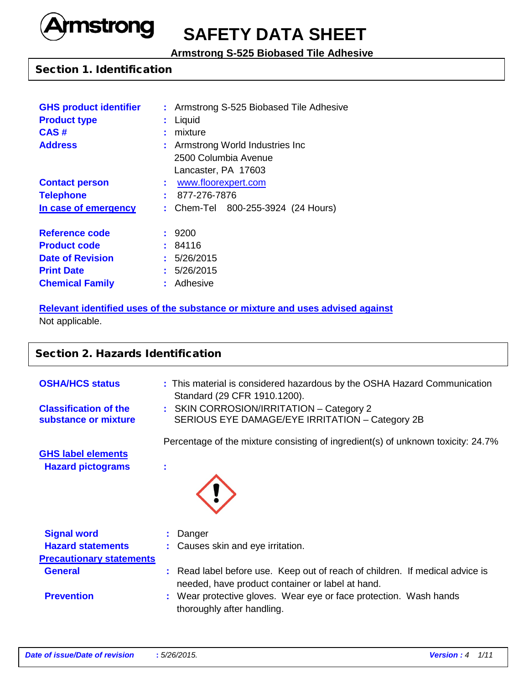

# **SAFETY DATA SHEET**

**Armstrong S-525 Biobased Tile Adhesive**

### Section 1. Identification

| <b>GHS product identifier</b> |    | : Armstrong S-525 Biobased Tile Adhesive |
|-------------------------------|----|------------------------------------------|
| <b>Product type</b>           |    | Liquid                                   |
| CAS#                          | t. | mixture                                  |
| <b>Address</b>                |    | : Armstrong World Industries Inc         |
|                               |    | 2500 Columbia Avenue                     |
|                               |    | Lancaster, PA 17603                      |
| <b>Contact person</b>         | t. | www.floorexpert.com                      |
| <b>Telephone</b>              |    | 877-276-7876                             |
| In case of emergency          |    | : Chem-Tel 800-255-3924 (24 Hours)       |
| <b>Reference code</b>         |    | : 9200                                   |
| <b>Product code</b>           |    | : 84116                                  |
| <b>Date of Revision</b>       |    | : 5/26/2015                              |
| <b>Print Date</b>             |    | : 5/26/2015                              |
| <b>Chemical Family</b>        | t. | Adhesive                                 |

### **Relevant identified uses of the substance or mixture and uses advised against** Not applicable.

# **Section 2. Hazards Identification OSHA/HCS status : This material is considered hazardous by the OSHA Hazard Communication** Standard (29 CFR 1910.1200). **Classification of the :** SKIN CORROSION/IRRITATION – Category 2 **substance or mixture** SERIOUS EYE DAMAGE/EYE IRRITATION – Category 2B Percentage of the mixture consisting of ingredient(s) of unknown toxicity: 24.7% **GHS label elements Hazard pictograms : Signal word : Danger Hazard statements** : Causes skin and eye irritation. **Precautionary statements General :** Read label before use. Keep out of reach of children. If medical advice is needed, have product container or label at hand. **Prevention :** Wear protective gloves. Wear eye or face protection. Wash hands thoroughly after handling.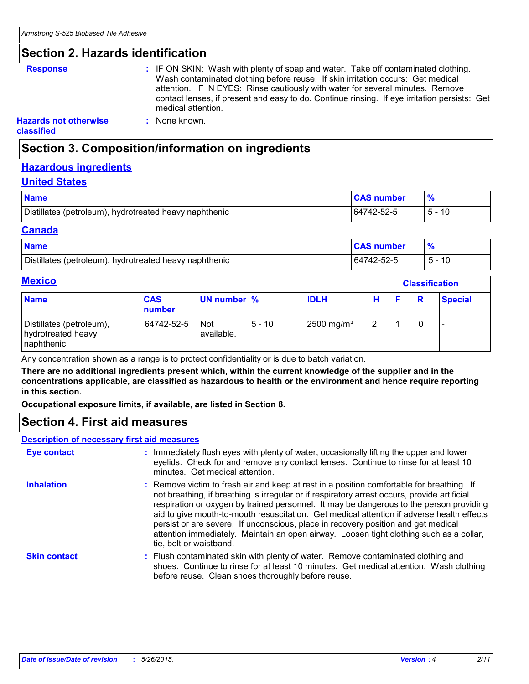### **Section 2. Hazards identification**

**Response :** IF ON SKIN: Wash with plenty of soap and water. Take off contaminated clothing. Wash contaminated clothing before reuse. If skin irritation occurs: Get medical attention. IF IN EYES: Rinse cautiously with water for several minutes. Remove contact lenses, if present and easy to do. Continue rinsing. If eye irritation persists: Get medical attention.

### **Hazards not otherwise**

**classified**

# **Section 3. Composition/information on ingredients**

**:** None known.

### **Hazardous ingredients**

#### **United States**

| <b>Name</b>                                            | <b>CAS number</b> |    |
|--------------------------------------------------------|-------------------|----|
| Distillates (petroleum), hydrotreated heavy naphthenic | 164742-52-5       | 10 |

#### **Canada**

| <b>Name</b>                                            | <b>CAS number</b> |      |
|--------------------------------------------------------|-------------------|------|
| Distillates (petroleum), hydrotreated heavy naphthenic | 64742-52-5        | - 10 |

# **Mexico**

|                                                              |                      |                          |          |                        |  | <u>VIUVUIIVUUVII</u> |  |                |  |  |
|--------------------------------------------------------------|----------------------|--------------------------|----------|------------------------|--|----------------------|--|----------------|--|--|
| <b>Name</b>                                                  | <b>CAS</b><br>number | UN number %              |          | <b>IDLH</b>            |  |                      |  | <b>Special</b> |  |  |
| Distillates (petroleum),<br>hydrotreated heavy<br>naphthenic | 64742-52-5           | <b>Not</b><br>available. | $5 - 10$ | 2500 mg/m <sup>3</sup> |  |                      |  |                |  |  |

Any concentration shown as a range is to protect confidentiality or is due to batch variation.

**There are no additional ingredients present which, within the current knowledge of the supplier and in the concentrations applicable, are classified as hazardous to health or the environment and hence require reporting in this section.**

**Occupational exposure limits, if available, are listed in Section 8.**

# **Section 4. First aid measures**

#### **Description of necessary first aid measures**

| <b>Eye contact</b>  | : Immediately flush eyes with plenty of water, occasionally lifting the upper and lower<br>eyelids. Check for and remove any contact lenses. Continue to rinse for at least 10<br>minutes. Get medical attention.                                                                                                                                                                                                                                                                                                                                                                            |
|---------------------|----------------------------------------------------------------------------------------------------------------------------------------------------------------------------------------------------------------------------------------------------------------------------------------------------------------------------------------------------------------------------------------------------------------------------------------------------------------------------------------------------------------------------------------------------------------------------------------------|
| <b>Inhalation</b>   | : Remove victim to fresh air and keep at rest in a position comfortable for breathing. If<br>not breathing, if breathing is irregular or if respiratory arrest occurs, provide artificial<br>respiration or oxygen by trained personnel. It may be dangerous to the person providing<br>aid to give mouth-to-mouth resuscitation. Get medical attention if adverse health effects<br>persist or are severe. If unconscious, place in recovery position and get medical<br>attention immediately. Maintain an open airway. Loosen tight clothing such as a collar,<br>tie, belt or waistband. |
| <b>Skin contact</b> | : Flush contaminated skin with plenty of water. Remove contaminated clothing and<br>shoes. Continue to rinse for at least 10 minutes. Get medical attention. Wash clothing<br>before reuse. Clean shoes thoroughly before reuse.                                                                                                                                                                                                                                                                                                                                                             |

**Classification**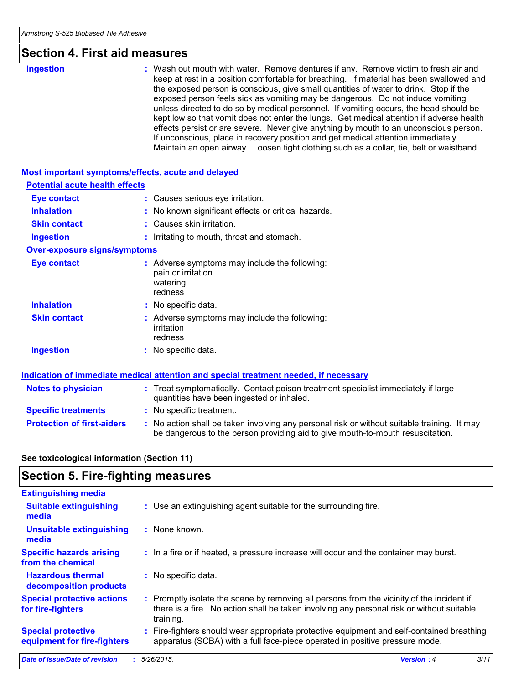| <b>Section 4. First aid measures</b>               |                                                                                                                                                                                                                                                                                                                                                                                                                                                                                                                                                                                                                                                                                                                                                                                                                           |
|----------------------------------------------------|---------------------------------------------------------------------------------------------------------------------------------------------------------------------------------------------------------------------------------------------------------------------------------------------------------------------------------------------------------------------------------------------------------------------------------------------------------------------------------------------------------------------------------------------------------------------------------------------------------------------------------------------------------------------------------------------------------------------------------------------------------------------------------------------------------------------------|
| <b>Ingestion</b>                                   | : Wash out mouth with water. Remove dentures if any. Remove victim to fresh air and<br>keep at rest in a position comfortable for breathing. If material has been swallowed and<br>the exposed person is conscious, give small quantities of water to drink. Stop if the<br>exposed person feels sick as vomiting may be dangerous. Do not induce vomiting<br>unless directed to do so by medical personnel. If vomiting occurs, the head should be<br>kept low so that vomit does not enter the lungs. Get medical attention if adverse health<br>effects persist or are severe. Never give anything by mouth to an unconscious person.<br>If unconscious, place in recovery position and get medical attention immediately.<br>Maintain an open airway. Loosen tight clothing such as a collar, tie, belt or waistband. |
| Most important symptoms/effects, acute and delayed |                                                                                                                                                                                                                                                                                                                                                                                                                                                                                                                                                                                                                                                                                                                                                                                                                           |
| <b>Potential acute health effects</b>              |                                                                                                                                                                                                                                                                                                                                                                                                                                                                                                                                                                                                                                                                                                                                                                                                                           |
| <b>Eye contact</b>                                 | : Causes serious eye irritation.                                                                                                                                                                                                                                                                                                                                                                                                                                                                                                                                                                                                                                                                                                                                                                                          |
| <b>Inhalation</b>                                  | No known significant effects or critical hazards.                                                                                                                                                                                                                                                                                                                                                                                                                                                                                                                                                                                                                                                                                                                                                                         |
| <b>Skin contact</b>                                | Causes skin irritation.                                                                                                                                                                                                                                                                                                                                                                                                                                                                                                                                                                                                                                                                                                                                                                                                   |
| <b>Ingestion</b>                                   | : Irritating to mouth, throat and stomach.                                                                                                                                                                                                                                                                                                                                                                                                                                                                                                                                                                                                                                                                                                                                                                                |
| <b>Over-exposure signs/symptoms</b>                |                                                                                                                                                                                                                                                                                                                                                                                                                                                                                                                                                                                                                                                                                                                                                                                                                           |
| <b>Eye contact</b>                                 | : Adverse symptoms may include the following:<br>pain or irritation<br>watering<br>redness                                                                                                                                                                                                                                                                                                                                                                                                                                                                                                                                                                                                                                                                                                                                |
| <b>Inhalation</b>                                  | : No specific data.                                                                                                                                                                                                                                                                                                                                                                                                                                                                                                                                                                                                                                                                                                                                                                                                       |
| <b>Skin contact</b>                                | : Adverse symptoms may include the following:<br>irritation<br>redness                                                                                                                                                                                                                                                                                                                                                                                                                                                                                                                                                                                                                                                                                                                                                    |
| <b>Ingestion</b>                                   | : No specific data.                                                                                                                                                                                                                                                                                                                                                                                                                                                                                                                                                                                                                                                                                                                                                                                                       |
|                                                    | Indication of immediate medical attention and special treatment needed, if necessary                                                                                                                                                                                                                                                                                                                                                                                                                                                                                                                                                                                                                                                                                                                                      |
| <b>Notes to physician</b>                          | : Treat symptomatically. Contact poison treatment specialist immediately if large<br>quantities have been ingested or inhaled.                                                                                                                                                                                                                                                                                                                                                                                                                                                                                                                                                                                                                                                                                            |
| <b>Specific treatments</b>                         | : No specific treatment.                                                                                                                                                                                                                                                                                                                                                                                                                                                                                                                                                                                                                                                                                                                                                                                                  |
| <b>Protection of first-aiders</b>                  | : No action shall be taken involving any personal risk or without suitable training. It may                                                                                                                                                                                                                                                                                                                                                                                                                                                                                                                                                                                                                                                                                                                               |

### **See toxicological information (Section 11)**

# **Section 5. Fire-fighting measures**

| <b>Extinguishing media</b>                               |                                                                                                                                                                                                     |
|----------------------------------------------------------|-----------------------------------------------------------------------------------------------------------------------------------------------------------------------------------------------------|
| <b>Suitable extinguishing</b><br>media                   | : Use an extinguishing agent suitable for the surrounding fire.                                                                                                                                     |
| <b>Unsuitable extinguishing</b><br>media                 | : None known.                                                                                                                                                                                       |
| <b>Specific hazards arising</b><br>from the chemical     | : In a fire or if heated, a pressure increase will occur and the container may burst.                                                                                                               |
| <b>Hazardous thermal</b><br>decomposition products       | : No specific data.                                                                                                                                                                                 |
| <b>Special protective actions</b><br>for fire-fighters   | : Promptly isolate the scene by removing all persons from the vicinity of the incident if<br>there is a fire. No action shall be taken involving any personal risk or without suitable<br>training. |
| <b>Special protective</b><br>equipment for fire-fighters | : Fire-fighters should wear appropriate protective equipment and self-contained breathing<br>apparatus (SCBA) with a full face-piece operated in positive pressure mode.                            |

be dangerous to the person providing aid to give mouth-to-mouth resuscitation.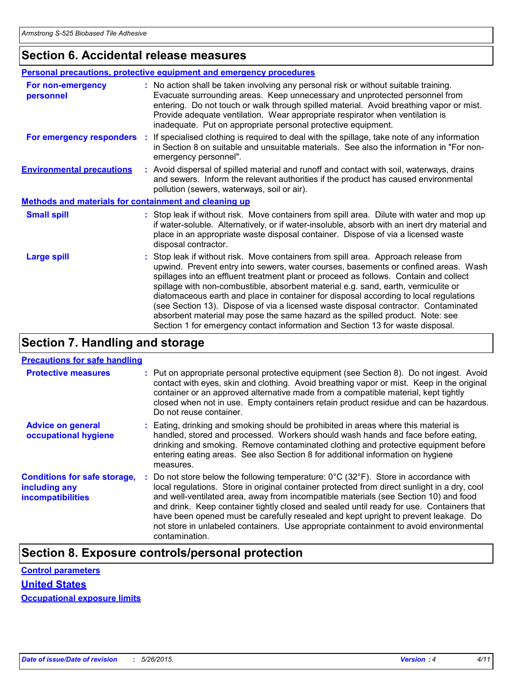# **Section 6. Accidental release measures**

|                                                              | <b>Personal precautions, protective equipment and emergency procedures</b>                                                                                                                                                                                                                                                                                                                                                                                                                                                                                                                                                                                                                                   |
|--------------------------------------------------------------|--------------------------------------------------------------------------------------------------------------------------------------------------------------------------------------------------------------------------------------------------------------------------------------------------------------------------------------------------------------------------------------------------------------------------------------------------------------------------------------------------------------------------------------------------------------------------------------------------------------------------------------------------------------------------------------------------------------|
| For non-emergency<br>personnel                               | : No action shall be taken involving any personal risk or without suitable training.<br>Evacuate surrounding areas. Keep unnecessary and unprotected personnel from<br>entering. Do not touch or walk through spilled material. Avoid breathing vapor or mist.<br>Provide adequate ventilation. Wear appropriate respirator when ventilation is<br>inadequate. Put on appropriate personal protective equipment.                                                                                                                                                                                                                                                                                             |
|                                                              | For emergency responders : If specialised clothing is required to deal with the spillage, take note of any information<br>in Section 8 on suitable and unsuitable materials. See also the information in "For non-<br>emergency personnel".                                                                                                                                                                                                                                                                                                                                                                                                                                                                  |
| <b>Environmental precautions</b>                             | : Avoid dispersal of spilled material and runoff and contact with soil, waterways, drains<br>and sewers. Inform the relevant authorities if the product has caused environmental<br>pollution (sewers, waterways, soil or air).                                                                                                                                                                                                                                                                                                                                                                                                                                                                              |
| <b>Methods and materials for containment and cleaning up</b> |                                                                                                                                                                                                                                                                                                                                                                                                                                                                                                                                                                                                                                                                                                              |
| <b>Small spill</b>                                           | : Stop leak if without risk. Move containers from spill area. Dilute with water and mop up<br>if water-soluble. Alternatively, or if water-insoluble, absorb with an inert dry material and<br>place in an appropriate waste disposal container. Dispose of via a licensed waste<br>disposal contractor.                                                                                                                                                                                                                                                                                                                                                                                                     |
| <b>Large spill</b>                                           | : Stop leak if without risk. Move containers from spill area. Approach release from<br>upwind. Prevent entry into sewers, water courses, basements or confined areas. Wash<br>spillages into an effluent treatment plant or proceed as follows. Contain and collect<br>spillage with non-combustible, absorbent material e.g. sand, earth, vermiculite or<br>diatomaceous earth and place in container for disposal according to local regulations<br>(see Section 13). Dispose of via a licensed waste disposal contractor. Contaminated<br>absorbent material may pose the same hazard as the spilled product. Note: see<br>Section 1 for emergency contact information and Section 13 for waste disposal. |

# **Section 7. Handling and storage**

### **Precautions for safe handling**

| <b>Protective measures</b>                                                       | : Put on appropriate personal protective equipment (see Section 8). Do not ingest. Avoid<br>contact with eyes, skin and clothing. Avoid breathing vapor or mist. Keep in the original<br>container or an approved alternative made from a compatible material, kept tightly<br>closed when not in use. Empty containers retain product residue and can be hazardous.<br>Do not reuse container.                                                                                                                                                                                                 |
|----------------------------------------------------------------------------------|-------------------------------------------------------------------------------------------------------------------------------------------------------------------------------------------------------------------------------------------------------------------------------------------------------------------------------------------------------------------------------------------------------------------------------------------------------------------------------------------------------------------------------------------------------------------------------------------------|
| <b>Advice on general</b><br>occupational hygiene                                 | : Eating, drinking and smoking should be prohibited in areas where this material is<br>handled, stored and processed. Workers should wash hands and face before eating,<br>drinking and smoking. Remove contaminated clothing and protective equipment before<br>entering eating areas. See also Section 8 for additional information on hygiene<br>measures.                                                                                                                                                                                                                                   |
| <b>Conditions for safe storage,</b><br>including any<br><b>incompatibilities</b> | : Do not store below the following temperature: $0^{\circ}$ C (32 $^{\circ}$ F). Store in accordance with<br>local regulations. Store in original container protected from direct sunlight in a dry, cool<br>and well-ventilated area, away from incompatible materials (see Section 10) and food<br>and drink. Keep container tightly closed and sealed until ready for use. Containers that<br>have been opened must be carefully resealed and kept upright to prevent leakage. Do<br>not store in unlabeled containers. Use appropriate containment to avoid environmental<br>contamination. |

# **Section 8. Exposure controls/personal protection**

### **United States**

**Occupational exposure limits**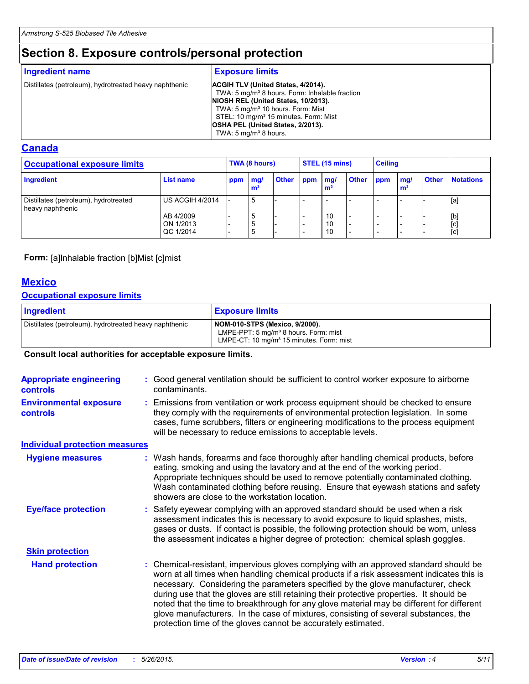# **Section 8. Exposure controls/personal protection**

| Ingredient name                                        | <b>Exposure limits</b>                                                                                                                                                                                                                                                                                                 |
|--------------------------------------------------------|------------------------------------------------------------------------------------------------------------------------------------------------------------------------------------------------------------------------------------------------------------------------------------------------------------------------|
| Distillates (petroleum), hydrotreated heavy naphthenic | ACGIH TLV (United States, 4/2014).<br>TWA: 5 mg/m <sup>3</sup> 8 hours. Form: Inhalable fraction<br>NIOSH REL (United States, 10/2013).<br>TWA: 5 mg/m <sup>3</sup> 10 hours. Form: Mist<br>STEL: 10 mg/m <sup>3</sup> 15 minutes. Form: Mist<br>OSHA PEL (United States, 2/2013).<br>TWA: $5 \text{ mg/m}^3$ 8 hours. |

### **Canada**

| <b>Occupational exposure limits</b>                       |                                     | TWA (8 hours) |          |              | STEL (15 mins) |                |              | <b>Ceiling</b> |            |              |                                               |
|-----------------------------------------------------------|-------------------------------------|---------------|----------|--------------|----------------|----------------|--------------|----------------|------------|--------------|-----------------------------------------------|
| Ingredient                                                | List name                           | ppm           | mg/<br>m | <b>Other</b> | ppm            | mq/<br>m       | <b>Other</b> | ppm            | mg/<br>∣m∙ | <b>Other</b> | <b>Notations</b>                              |
| Distillates (petroleum), hydrotreated<br>heavy naphthenic | US ACGIH 4/2014                     |               | 5        |              |                |                |              |                |            |              | [a]                                           |
|                                                           | AB 4/2009<br>ON 1/2013<br>QC 1/2014 |               |          |              |                | 10<br>10<br>10 |              |                |            |              | $\begin{bmatrix} 1 \\ 0 \end{bmatrix}$<br>[c] |

#### **Form:** [a]Inhalable fraction [b]Mist [c]mist

### **Mexico**

### **Occupational exposure limits**

| Ingredient                                             | <b>Exposure limits</b>                                                                                                                      |
|--------------------------------------------------------|---------------------------------------------------------------------------------------------------------------------------------------------|
| Distillates (petroleum), hydrotreated heavy naphthenic | NOM-010-STPS (Mexico, 9/2000).<br>LMPE-PPT: 5 mg/m <sup>3</sup> 8 hours. Form: mist<br>LMPE-CT: 10 mg/m <sup>3</sup> 15 minutes. Form: mist |

#### **Consult local authorities for acceptable exposure limits.**

| Good general ventilation should be sufficient to control worker exposure to airborne<br><b>Appropriate engineering</b><br>contaminants.<br><b>controls</b><br>Emissions from ventilation or work process equipment should be checked to ensure<br>they comply with the requirements of environmental protection legislation. In some<br>cases, fume scrubbers, filters or engineering modifications to the process equipment<br>will be necessary to reduce emissions to acceptable levels.<br><b>Individual protection measures</b><br>Wash hands, forearms and face thoroughly after handling chemical products, before<br><b>Hygiene measures</b><br>eating, smoking and using the lavatory and at the end of the working period.<br>Appropriate techniques should be used to remove potentially contaminated clothing.<br>showers are close to the workstation location.<br><b>Eye/face protection</b><br>Safety eyewear complying with an approved standard should be used when a risk<br>assessment indicates this is necessary to avoid exposure to liquid splashes, mists,<br>gases or dusts. If contact is possible, the following protection should be worn, unless<br>the assessment indicates a higher degree of protection: chemical splash goggles.<br><b>Skin protection</b><br>: Chemical-resistant, impervious gloves complying with an approved standard should be<br><b>Hand protection</b><br>necessary. Considering the parameters specified by the glove manufacturer, check<br>during use that the gloves are still retaining their protective properties. It should be<br>glove manufacturers. In the case of mixtures, consisting of several substances, the |  |                                                                                                                                                                                                                                                        |
|---------------------------------------------------------------------------------------------------------------------------------------------------------------------------------------------------------------------------------------------------------------------------------------------------------------------------------------------------------------------------------------------------------------------------------------------------------------------------------------------------------------------------------------------------------------------------------------------------------------------------------------------------------------------------------------------------------------------------------------------------------------------------------------------------------------------------------------------------------------------------------------------------------------------------------------------------------------------------------------------------------------------------------------------------------------------------------------------------------------------------------------------------------------------------------------------------------------------------------------------------------------------------------------------------------------------------------------------------------------------------------------------------------------------------------------------------------------------------------------------------------------------------------------------------------------------------------------------------------------------------------------------------------------------------------------|--|--------------------------------------------------------------------------------------------------------------------------------------------------------------------------------------------------------------------------------------------------------|
| <b>Environmental exposure</b><br><b>controls</b>                                                                                                                                                                                                                                                                                                                                                                                                                                                                                                                                                                                                                                                                                                                                                                                                                                                                                                                                                                                                                                                                                                                                                                                                                                                                                                                                                                                                                                                                                                                                                                                                                                      |  |                                                                                                                                                                                                                                                        |
|                                                                                                                                                                                                                                                                                                                                                                                                                                                                                                                                                                                                                                                                                                                                                                                                                                                                                                                                                                                                                                                                                                                                                                                                                                                                                                                                                                                                                                                                                                                                                                                                                                                                                       |  |                                                                                                                                                                                                                                                        |
|                                                                                                                                                                                                                                                                                                                                                                                                                                                                                                                                                                                                                                                                                                                                                                                                                                                                                                                                                                                                                                                                                                                                                                                                                                                                                                                                                                                                                                                                                                                                                                                                                                                                                       |  |                                                                                                                                                                                                                                                        |
|                                                                                                                                                                                                                                                                                                                                                                                                                                                                                                                                                                                                                                                                                                                                                                                                                                                                                                                                                                                                                                                                                                                                                                                                                                                                                                                                                                                                                                                                                                                                                                                                                                                                                       |  | Wash contaminated clothing before reusing. Ensure that eyewash stations and safety                                                                                                                                                                     |
|                                                                                                                                                                                                                                                                                                                                                                                                                                                                                                                                                                                                                                                                                                                                                                                                                                                                                                                                                                                                                                                                                                                                                                                                                                                                                                                                                                                                                                                                                                                                                                                                                                                                                       |  |                                                                                                                                                                                                                                                        |
|                                                                                                                                                                                                                                                                                                                                                                                                                                                                                                                                                                                                                                                                                                                                                                                                                                                                                                                                                                                                                                                                                                                                                                                                                                                                                                                                                                                                                                                                                                                                                                                                                                                                                       |  |                                                                                                                                                                                                                                                        |
|                                                                                                                                                                                                                                                                                                                                                                                                                                                                                                                                                                                                                                                                                                                                                                                                                                                                                                                                                                                                                                                                                                                                                                                                                                                                                                                                                                                                                                                                                                                                                                                                                                                                                       |  | worn at all times when handling chemical products if a risk assessment indicates this is<br>noted that the time to breakthrough for any glove material may be different for different<br>protection time of the gloves cannot be accurately estimated. |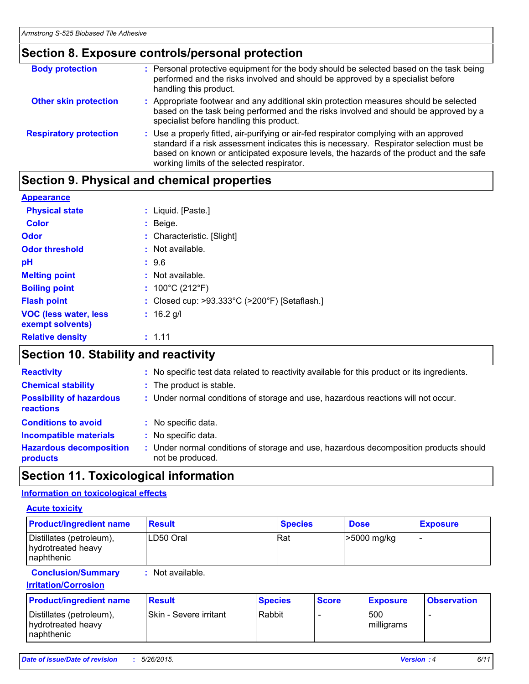#### **Section 8. Exposure controls/personal protection** Use a properly fitted, air-purifying or air-fed respirator complying with an approved standard if a risk assessment indicates this is necessary. Respirator selection must be based on known or anticipated exposure levels, the hazards of the product and the safe working limits of the selected respirator. **Respiratory protection : Body protection** : Personal protective equipment for the body should be selected based on the task being in the task being performed and the risks involved and should be approved by a specialist before handling this product. **Other skin protection :** Appropriate footwear and any additional skin protection measures should be selected based on the task being performed and the risks involved and should be approved by a specialist before handling this product.

# **Section 9. Physical and chemical properties**

### **Appearance**

| <b>Physical state</b>                             | : Liquid. [Paste.]                                                 |
|---------------------------------------------------|--------------------------------------------------------------------|
| <b>Color</b>                                      | : Beige.                                                           |
| <b>Odor</b>                                       | : Characteristic. [Slight]                                         |
| <b>Odor threshold</b>                             | : Not available.                                                   |
| рH                                                | : 9.6                                                              |
| <b>Melting point</b>                              | $:$ Not available.                                                 |
| <b>Boiling point</b>                              | : $100^{\circ}$ C (212 $^{\circ}$ F)                               |
| <b>Flash point</b>                                | : Closed cup: $>93.333^{\circ}$ C ( $>200^{\circ}$ F) [Setaflash.] |
| <b>VOC (less water, less)</b><br>exempt solvents) | $: 16.2$ g/l                                                       |
| <b>Relative density</b>                           | : 1.11                                                             |
|                                                   |                                                                    |

# **Section 10. Stability and reactivity**

| <b>Reactivity</b>                                   | : No specific test data related to reactivity available for this product or its ingredients.            |
|-----------------------------------------------------|---------------------------------------------------------------------------------------------------------|
| <b>Chemical stability</b>                           | : The product is stable.                                                                                |
| <b>Possibility of hazardous</b><br><b>reactions</b> | : Under normal conditions of storage and use, hazardous reactions will not occur.                       |
| <b>Conditions to avoid</b>                          | No specific data.                                                                                       |
| <b>Incompatible materials</b>                       | : No specific data.                                                                                     |
| <b>Hazardous decomposition</b><br>products          | Under normal conditions of storage and use, hazardous decomposition products should<br>not be produced. |

# **Section 11. Toxicological information**

### **Information on toxicological effects**

### **Acute toxicity**

| <b>Product/ingredient name</b>                                          | <b>Result</b>                             | <b>Species</b> |              | <b>Dose</b>     | <b>Exposure</b>    |
|-------------------------------------------------------------------------|-------------------------------------------|----------------|--------------|-----------------|--------------------|
| Distillates (petroleum),<br>hydrotreated heavy<br>naphthenic            | LD50 Oral                                 | Rat            |              | >5000 mg/kg     | ۰                  |
| <b>Conclusion/Summary</b><br><b>Irritation/Corrosion</b>                | Not available.                            |                |              |                 |                    |
| <b>Product/ingredient name</b>                                          | <b>Result</b>                             | <b>Species</b> | <b>Score</b> | <b>Exposure</b> | <b>Observation</b> |
| $\mathbb{R}^n$ and $\mathbb{R}^n$ and $\mathbb{R}^n$ and $\mathbb{R}^n$ | $\sim$ $\sim$ $\sim$ $\sim$ $\sim$ $\sim$ | ---            |              | $-0n$           |                    |

| <b>Product/ingredient name</b>                                | <b>Result</b>                 | <b>Species</b> | <b>Score</b> | <b>Exposure</b>   | <b>Observation</b> |
|---------------------------------------------------------------|-------------------------------|----------------|--------------|-------------------|--------------------|
| Distillates (petroleum),<br>hydrotreated heavy<br>Inaphthenic | <b>Skin - Severe irritant</b> | Rabbit         |              | 500<br>milligrams |                    |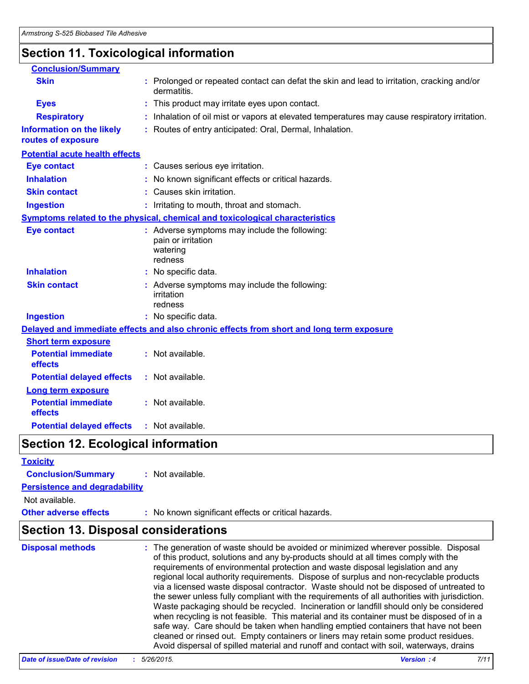# **Section 11. Toxicological information**

| <b>Conclusion/Summary</b>                              |                                                                                                           |
|--------------------------------------------------------|-----------------------------------------------------------------------------------------------------------|
| <b>Skin</b>                                            | : Prolonged or repeated contact can defat the skin and lead to irritation, cracking and/or<br>dermatitis. |
| <b>Eyes</b>                                            | : This product may irritate eyes upon contact.                                                            |
| <b>Respiratory</b>                                     | : Inhalation of oil mist or vapors at elevated temperatures may cause respiratory irritation.             |
| <b>Information on the likely</b><br>routes of exposure | : Routes of entry anticipated: Oral, Dermal, Inhalation.                                                  |
| <b>Potential acute health effects</b>                  |                                                                                                           |
| <b>Eye contact</b>                                     | : Causes serious eye irritation.                                                                          |
| <b>Inhalation</b>                                      | : No known significant effects or critical hazards.                                                       |
| <b>Skin contact</b>                                    | : Causes skin irritation.                                                                                 |
| <b>Ingestion</b>                                       | : Irritating to mouth, throat and stomach.                                                                |
|                                                        | Symptoms related to the physical, chemical and toxicological characteristics                              |
| <b>Eye contact</b>                                     | : Adverse symptoms may include the following:<br>pain or irritation<br>watering<br>redness                |
| <b>Inhalation</b>                                      | : No specific data.                                                                                       |
| <b>Skin contact</b>                                    | : Adverse symptoms may include the following:<br>irritation<br>redness                                    |
| <b>Ingestion</b>                                       | : No specific data.                                                                                       |
|                                                        | Delayed and immediate effects and also chronic effects from short and long term exposure                  |
| <b>Short term exposure</b>                             |                                                                                                           |
| <b>Potential immediate</b><br>effects                  | : Not available.                                                                                          |
| <b>Potential delayed effects</b>                       | : Not available.                                                                                          |
| <b>Long term exposure</b>                              |                                                                                                           |
| <b>Potential immediate</b><br>effects                  | : Not available.                                                                                          |
| <b>Potential delayed effects</b>                       | : Not available.                                                                                          |

# **Section 12. Ecological information**

| <b>Toxicity</b>                            |                                                                                                                                                                                                                                                                                                                                                        |
|--------------------------------------------|--------------------------------------------------------------------------------------------------------------------------------------------------------------------------------------------------------------------------------------------------------------------------------------------------------------------------------------------------------|
| <b>Conclusion/Summary</b>                  | $:$ Not available.                                                                                                                                                                                                                                                                                                                                     |
| <b>Persistence and degradability</b>       |                                                                                                                                                                                                                                                                                                                                                        |
| Not available.                             |                                                                                                                                                                                                                                                                                                                                                        |
| <b>Other adverse effects</b>               | : No known significant effects or critical hazards.                                                                                                                                                                                                                                                                                                    |
| <b>Section 13. Disposal considerations</b> |                                                                                                                                                                                                                                                                                                                                                        |
| <b>Disposal methods</b>                    | : The generation of waste should be avoided or minimized wherever possible. Disposal<br>of this product, solutions and any by-products should at all times comply with the<br>requirements of environmental protection and waste disposal legislation and any<br>regional local authority requirements. Dispose of surplus and non-recyclable products |

| of this product, solutions and any by-products should at all times comply with the<br>requirements of environmental protection and waste disposal legislation and any<br>regional local authority requirements. Dispose of surplus and non-recyclable products<br>via a licensed waste disposal contractor. Waste should not be disposed of untreated to<br>the sewer unless fully compliant with the requirements of all authorities with jurisdiction.<br>Waste packaging should be recycled. Incineration or landfill should only be considered<br>when recycling is not feasible. This material and its container must be disposed of in a |
|------------------------------------------------------------------------------------------------------------------------------------------------------------------------------------------------------------------------------------------------------------------------------------------------------------------------------------------------------------------------------------------------------------------------------------------------------------------------------------------------------------------------------------------------------------------------------------------------------------------------------------------------|
| safe way. Care should be taken when handling emptied containers that have not been<br>cleaned or rinsed out. Empty containers or liners may retain some product residues.<br>Avoid dispersal of spilled material and runoff and contact with soil, waterways, drains                                                                                                                                                                                                                                                                                                                                                                           |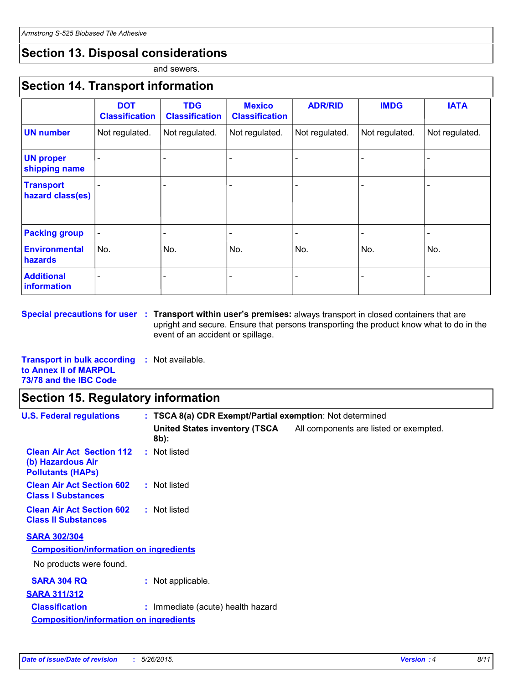# **Section 13. Disposal considerations**

and sewers.

### **Section 14. Transport information**

|                                        | <b>DOT</b><br><b>Classification</b> | <b>TDG</b><br><b>Classification</b> | <b>Mexico</b><br><b>Classification</b> | <b>ADR/RID</b> | <b>IMDG</b>    | <b>IATA</b>    |
|----------------------------------------|-------------------------------------|-------------------------------------|----------------------------------------|----------------|----------------|----------------|
| <b>UN number</b>                       | Not regulated.                      | Not regulated.                      | Not regulated.                         | Not regulated. | Not regulated. | Not regulated. |
| <b>UN proper</b><br>shipping name      |                                     |                                     |                                        |                |                |                |
| <b>Transport</b><br>hazard class(es)   |                                     |                                     |                                        |                |                |                |
| <b>Packing group</b>                   |                                     |                                     |                                        |                |                |                |
| <b>Environmental</b><br><b>hazards</b> | No.                                 | No.                                 | No.                                    | No.            | No.            | No.            |
| <b>Additional</b><br>information       |                                     |                                     |                                        |                |                |                |

**Special precautions for user Transport within user's premises:** always transport in closed containers that are **:** upright and secure. Ensure that persons transporting the product know what to do in the event of an accident or spillage.

**Transport in bulk according :** Not available. **to Annex II of MARPOL 73/78 and the IBC Code**

### **Section 15. Regulatory information**

| <b>U.S. Federal regulations</b>                                                   | : TSCA 8(a) CDR Exempt/Partial exemption: Not determined |                                        |
|-----------------------------------------------------------------------------------|----------------------------------------------------------|----------------------------------------|
|                                                                                   | <b>United States inventory (TSCA</b><br>8b):             | All components are listed or exempted. |
| <b>Clean Air Act Section 112</b><br>(b) Hazardous Air<br><b>Pollutants (HAPS)</b> | : Not listed                                             |                                        |
| <b>Clean Air Act Section 602</b><br><b>Class I Substances</b>                     | : Not listed                                             |                                        |
| <b>Clean Air Act Section 602</b><br><b>Class II Substances</b>                    | : Not listed                                             |                                        |
| <b>SARA 302/304</b>                                                               |                                                          |                                        |
| <b>Composition/information on ingredients</b>                                     |                                                          |                                        |
| No products were found.                                                           |                                                          |                                        |
| <b>SARA 304 RQ</b>                                                                | : Not applicable.                                        |                                        |
| <b>SARA 311/312</b>                                                               |                                                          |                                        |
| <b>Classification</b>                                                             | : Immediate (acute) health hazard                        |                                        |
| <b>Composition/information on ingredients</b>                                     |                                                          |                                        |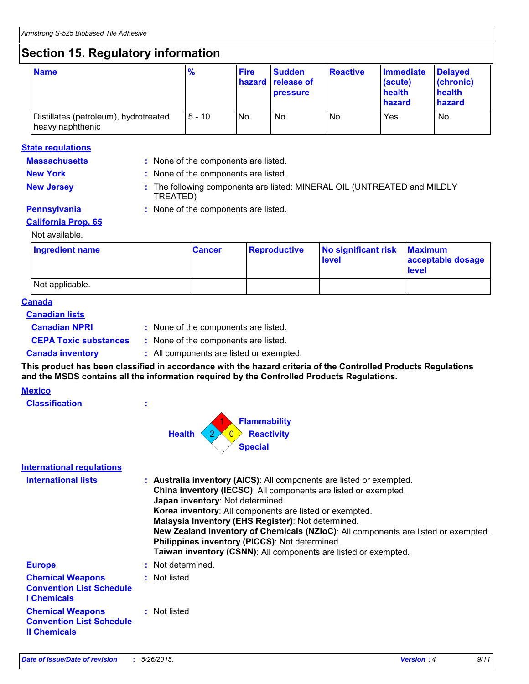# **Section 15. Regulatory information**

| <b>Name</b>                                               | $\frac{9}{6}$ | <b>Fire</b> | <b>Sudden</b><br><b>hazard release of</b><br><b>pressure</b> | <b>Reactive</b> | Immediate<br>(acute)<br>health<br>hazard | <b>Delayed</b><br>(chronic)<br>health<br>hazard |
|-----------------------------------------------------------|---------------|-------------|--------------------------------------------------------------|-----------------|------------------------------------------|-------------------------------------------------|
| Distillates (petroleum), hydrotreated<br>heavy naphthenic | $5 - 10$      | No.         | No.                                                          | No.             | Yes.                                     | No.                                             |

#### **State regulations**

- **Massachusetts :** None of the components are listed.
- **New York :** None of the components are listed.
- **New Jersey :** The following components are listed: MINERAL OIL (UNTREATED and MILDLY TREATED)
- 
- **Pennsylvania :** None of the components are listed.

#### **California Prop. 65**

#### Not available.

| Ingredient name | <b>Cancer</b> | Reproductive | No significant risk<br>level | <b>Maximum</b><br>acceptable dosage<br><b>level</b> |
|-----------------|---------------|--------------|------------------------------|-----------------------------------------------------|
| Not applicable. |               |              |                              |                                                     |

#### **Canada**

#### **Canadian lists**

- **Canadian NPRI :**
- : None of the components are listed.
- 
- **CEPA Toxic substances :** None of the components are listed.
- 

**Classification :**

**Canada inventory :** All components are listed or exempted.

**This product has been classified in accordance with the hazard criteria of the Controlled Products Regulations and the MSDS contains all the information required by the Controlled Products Regulations.**

#### **Mexico**

| ٠ |        | <b>Flammability</b>                       |
|---|--------|-------------------------------------------|
|   | Health | $2 \times 0$ Reactivity<br><b>Special</b> |

#### **International regulations**

| <b>International lists</b>                                                        | : Australia inventory (AICS): All components are listed or exempted.<br>China inventory (IECSC): All components are listed or exempted.<br>Japan inventory: Not determined.<br><b>Korea inventory:</b> All components are listed or exempted.<br>Malaysia Inventory (EHS Register): Not determined.<br>New Zealand Inventory of Chemicals (NZIoC): All components are listed or exempted.<br><b>Philippines inventory (PICCS): Not determined.</b><br>Taiwan inventory (CSNN): All components are listed or exempted. |
|-----------------------------------------------------------------------------------|-----------------------------------------------------------------------------------------------------------------------------------------------------------------------------------------------------------------------------------------------------------------------------------------------------------------------------------------------------------------------------------------------------------------------------------------------------------------------------------------------------------------------|
| <b>Europe</b>                                                                     | : Not determined.                                                                                                                                                                                                                                                                                                                                                                                                                                                                                                     |
| <b>Chemical Weapons</b><br><b>Convention List Schedule</b><br><b>I</b> Chemicals  | : Not listed                                                                                                                                                                                                                                                                                                                                                                                                                                                                                                          |
| <b>Chemical Weapons</b><br><b>Convention List Schedule</b><br><b>Il Chemicals</b> | : Not listed                                                                                                                                                                                                                                                                                                                                                                                                                                                                                                          |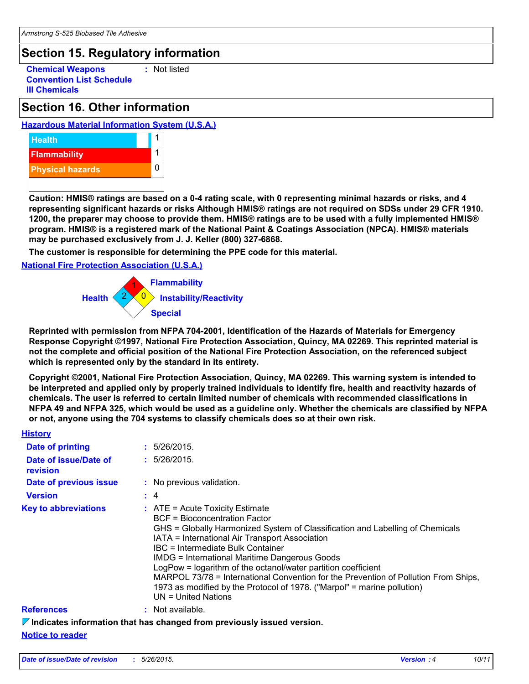# **Section 15. Regulatory information**

**Chemical Weapons Convention List Schedule III Chemicals :** Not listed

### **Section 16. Other information**

#### **Hazardous Material Information System (U.S.A.)**



**Caution: HMIS® ratings are based on a 0-4 rating scale, with 0 representing minimal hazards or risks, and 4 representing significant hazards or risks Although HMIS® ratings are not required on SDSs under 29 CFR 1910. 1200, the preparer may choose to provide them. HMIS® ratings are to be used with a fully implemented HMIS® program. HMIS® is a registered mark of the National Paint & Coatings Association (NPCA). HMIS® materials may be purchased exclusively from J. J. Keller (800) 327-6868.**

**The customer is responsible for determining the PPE code for this material.**

**National Fire Protection Association (U.S.A.)**



**Reprinted with permission from NFPA 704-2001, Identification of the Hazards of Materials for Emergency Response Copyright ©1997, National Fire Protection Association, Quincy, MA 02269. This reprinted material is not the complete and official position of the National Fire Protection Association, on the referenced subject which is represented only by the standard in its entirety.**

**Copyright ©2001, National Fire Protection Association, Quincy, MA 02269. This warning system is intended to be interpreted and applied only by properly trained individuals to identify fire, health and reactivity hazards of chemicals. The user is referred to certain limited number of chemicals with recommended classifications in NFPA 49 and NFPA 325, which would be used as a guideline only. Whether the chemicals are classified by NFPA or not, anyone using the 704 systems to classify chemicals does so at their own risk.**

| <b>History</b>                    |                                                                                                                                                                                                                                                                                                                                                                                                                                                                                                                                                                         |
|-----------------------------------|-------------------------------------------------------------------------------------------------------------------------------------------------------------------------------------------------------------------------------------------------------------------------------------------------------------------------------------------------------------------------------------------------------------------------------------------------------------------------------------------------------------------------------------------------------------------------|
| Date of printing                  | : 5/26/2015.                                                                                                                                                                                                                                                                                                                                                                                                                                                                                                                                                            |
| Date of issue/Date of<br>revision | : 5/26/2015.                                                                                                                                                                                                                                                                                                                                                                                                                                                                                                                                                            |
| <b>Date of previous issue</b>     | : No previous validation.                                                                                                                                                                                                                                                                                                                                                                                                                                                                                                                                               |
| <b>Version</b>                    | $\div$ 4                                                                                                                                                                                                                                                                                                                                                                                                                                                                                                                                                                |
| <b>Key to abbreviations</b>       | $\therefore$ ATE = Acute Toxicity Estimate<br>BCF = Bioconcentration Factor<br>GHS = Globally Harmonized System of Classification and Labelling of Chemicals<br>IATA = International Air Transport Association<br>IBC = Intermediate Bulk Container<br><b>IMDG = International Maritime Dangerous Goods</b><br>LogPow = logarithm of the octanol/water partition coefficient<br>MARPOL 73/78 = International Convention for the Prevention of Pollution From Ships,<br>1973 as modified by the Protocol of 1978. ("Marpol" = marine pollution)<br>$UN = United Nations$ |
| <b>References</b>                 | : Not available.                                                                                                                                                                                                                                                                                                                                                                                                                                                                                                                                                        |
|                                   | $\nabla$ Indicates information that has changed from previously issued version.                                                                                                                                                                                                                                                                                                                                                                                                                                                                                         |

**Notice to reader**